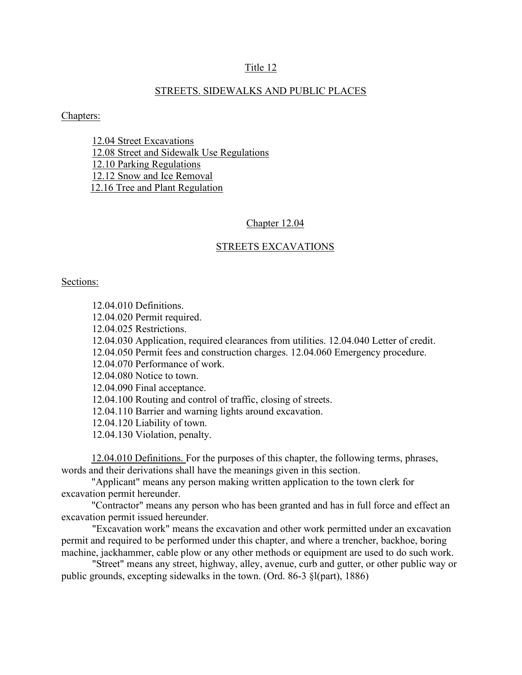### Title 12

### STREETS. SIDEWALKS AND PUBLIC PLACES

#### Chapters:

12.04 Street Excavations 12.08 Street and Sidewalk Use Regulations 12.10 Parking Regulations 12.12 Snow and Ice Removal 12.16 Tree and Plant Regulation

#### Chapter 12.04

#### STREETS EXCAVATIONS

### Sections:

12.04.010 Definitions. 12.04.020 Permit required. 12.04.025 Restrictions. 12.04.030 Application, required clearances from utilities. 12.04.040 Letter of credit. 12.04.050 Permit fees and construction charges. 12.04.060 Emergency procedure. 12.04.070 Performance of work. 12.04.080 Notice to town. 12.04.090 Final acceptance. 12.04.100 Routing and control of traffic, closing of streets. 12.04.110 Barrier and warning lights around excavation. 12.04.120 Liability of town. 12.04.130 Violation, penalty.

 12.04.010 Definitions. For the purposes of this chapter, the following terms, phrases, words and their derivations shall have the meanings given in this section.

 "Applicant" means any person making written application to the town clerk for excavation permit hereunder.

 "Contractor" means any person who has been granted and has in full force and effect an excavation permit issued hereunder.

"Excavation work" means the excavation and other work permitted under an excavation permit and required to be performed under this chapter, and where a trencher, backhoe, boring machine, jackhammer, cable plow or any other methods or equipment are used to do such work.

"Street" means any street, highway, alley, avenue, curb and gutter, or other public way or public grounds, excepting sidewalks in the town. (Ord. 86-3 §l(part), 1886)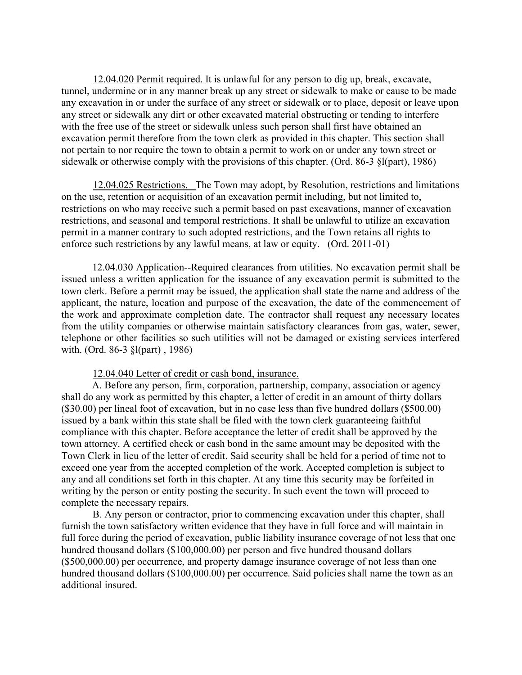12.04.020 Permit required. It is unlawful for any person to dig up, break, excavate, tunnel, undermine or in any manner break up any street or sidewalk to make or cause to be made any excavation in or under the surface of any street or sidewalk or to place, deposit or leave upon any street or sidewalk any dirt or other excavated material obstructing or tending to interfere with the free use of the street or sidewalk unless such person shall first have obtained an excavation permit therefore from the town clerk as provided in this chapter. This section shall not pertain to nor require the town to obtain a permit to work on or under any town street or sidewalk or otherwise comply with the provisions of this chapter. (Ord. 86-3 §l(part), 1986)

12.04.025 Restrictions. The Town may adopt, by Resolution, restrictions and limitations on the use, retention or acquisition of an excavation permit including, but not limited to, restrictions on who may receive such a permit based on past excavations, manner of excavation restrictions, and seasonal and temporal restrictions. It shall be unlawful to utilize an excavation permit in a manner contrary to such adopted restrictions, and the Town retains all rights to enforce such restrictions by any lawful means, at law or equity. (Ord. 2011-01)

12.04.030 Application--Required clearances from utilities. No excavation permit shall be issued unless a written application for the issuance of any excavation permit is submitted to the town clerk. Before a permit may be issued, the application shall state the name and address of the applicant, the nature, location and purpose of the excavation, the date of the commencement of the work and approximate completion date. The contractor shall request any necessary locates from the utility companies or otherwise maintain satisfactory clearances from gas, water, sewer, telephone or other facilities so such utilities will not be damaged or existing services interfered with. (Ord. 86-3 §l(part) , 1986)

### 12.04.040 Letter of credit or cash bond, insurance.

A. Before any person, firm, corporation, partnership, company, association or agency shall do any work as permitted by this chapter, a letter of credit in an amount of thirty dollars (\$30.00) per lineal foot of excavation, but in no case less than five hundred dollars (\$500.00) issued by a bank within this state shall be filed with the town clerk guaranteeing faithful compliance with this chapter. Before acceptance the letter of credit shall be approved by the town attorney. A certified check or cash bond in the same amount may be deposited with the Town Clerk in lieu of the letter of credit. Said security shall be held for a period of time not to exceed one year from the accepted completion of the work. Accepted completion is subject to any and all conditions set forth in this chapter. At any time this security may be forfeited in writing by the person or entity posting the security. In such event the town will proceed to complete the necessary repairs.

B. Any person or contractor, prior to commencing excavation under this chapter, shall furnish the town satisfactory written evidence that they have in full force and will maintain in full force during the period of excavation, public liability insurance coverage of not less that one hundred thousand dollars (\$100,000.00) per person and five hundred thousand dollars (\$500,000.00) per occurrence, and property damage insurance coverage of not less than one hundred thousand dollars (\$100,000.00) per occurrence. Said policies shall name the town as an additional insured.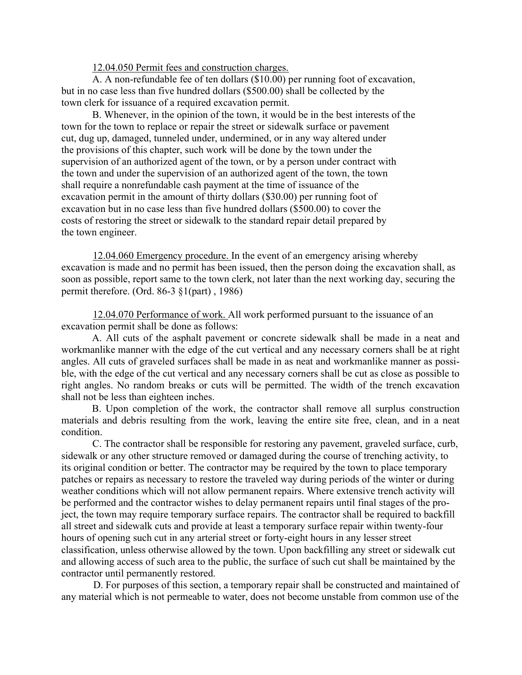12.04.050 Permit fees and construction charges.

A. A non-refundable fee of ten dollars (\$10.00) per running foot of excavation, but in no case less than five hundred dollars (\$500.00) shall be collected by the town clerk for issuance of a required excavation permit.

B. Whenever, in the opinion of the town, it would be in the best interests of the town for the town to replace or repair the street or sidewalk surface or pavement cut, dug up, damaged, tunneled under, undermined, or in any way altered under the provisions of this chapter, such work will be done by the town under the supervision of an authorized agent of the town, or by a person under contract with the town and under the supervision of an authorized agent of the town, the town shall require a nonrefundable cash payment at the time of issuance of the excavation permit in the amount of thirty dollars (\$30.00) per running foot of excavation but in no case less than five hundred dollars (\$500.00) to cover the costs of restoring the street or sidewalk to the standard repair detail prepared by the town engineer.

12.04.060 Emergency procedure. In the event of an emergency arising whereby excavation is made and no permit has been issued, then the person doing the excavation shall, as soon as possible, report same to the town clerk, not later than the next working day, securing the permit therefore. (Ord. 86-3 §1(part) , 1986)

12.04.070 Performance of work. All work performed pursuant to the issuance of an excavation permit shall be done as follows:

A. All cuts of the asphalt pavement or concrete sidewalk shall be made in a neat and workmanlike manner with the edge of the cut vertical and any necessary corners shall be at right angles. All cuts of graveled surfaces shall be made in as neat and workmanlike manner as possible, with the edge of the cut vertical and any necessary corners shall be cut as close as possible to right angles. No random breaks or cuts will be permitted. The width of the trench excavation shall not be less than eighteen inches.

 B. Upon completion of the work, the contractor shall remove all surplus construction materials and debris resulting from the work, leaving the entire site free, clean, and in a neat condition.

C. The contractor shall be responsible for restoring any pavement, graveled surface, curb, sidewalk or any other structure removed or damaged during the course of trenching activity, to its original condition or better. The contractor may be required by the town to place temporary patches or repairs as necessary to restore the traveled way during periods of the winter or during weather conditions which will not allow permanent repairs. Where extensive trench activity will be performed and the contractor wishes to delay permanent repairs until final stages of the project, the town may require temporary surface repairs. The contractor shall be required to backfill all street and sidewalk cuts and provide at least a temporary surface repair within twenty-four hours of opening such cut in any arterial street or forty-eight hours in any lesser street classification, unless otherwise allowed by the town. Upon backfilling any street or sidewalk cut and allowing access of such area to the public, the surface of such cut shall be maintained by the contractor until permanently restored.

D. For purposes of this section, a temporary repair shall be constructed and maintained of any material which is not permeable to water, does not become unstable from common use of the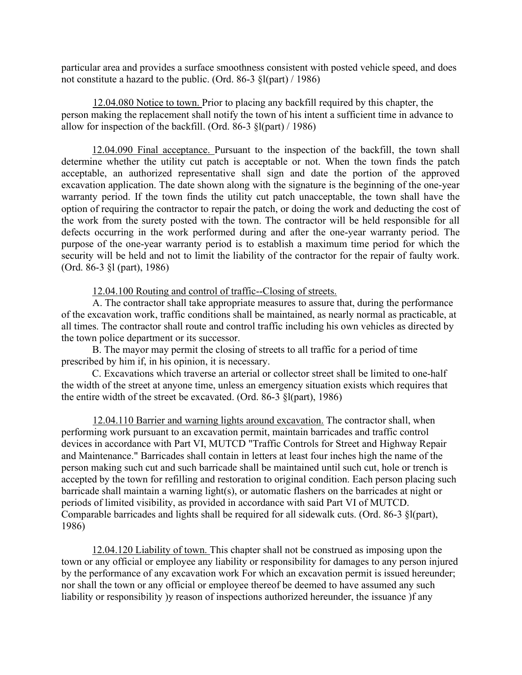particular area and provides a surface smoothness consistent with posted vehicle speed, and does not constitute a hazard to the public. (Ord. 86-3 §l(part) / 1986)

12.04.080 Notice to town. Prior to placing any backfill required by this chapter, the person making the replacement shall notify the town of his intent a sufficient time in advance to allow for inspection of the backfill. (Ord. 86-3 §l(part) / 1986)

12.04.090 Final acceptance. Pursuant to the inspection of the backfill, the town shall determine whether the utility cut patch is acceptable or not. When the town finds the patch acceptable, an authorized representative shall sign and date the portion of the approved excavation application. The date shown along with the signature is the beginning of the one-year warranty period. If the town finds the utility cut patch unacceptable, the town shall have the option of requiring the contractor to repair the patch, or doing the work and deducting the cost of the work from the surety posted with the town. The contractor will be held responsible for all defects occurring in the work performed during and after the one-year warranty period. The purpose of the one-year warranty period is to establish a maximum time period for which the security will be held and not to limit the liability of the contractor for the repair of faulty work. (Ord. 86-3 §l (part), 1986)

12.04.100 Routing and control of traffic--Closing of streets.

A. The contractor shall take appropriate measures to assure that, during the performance of the excavation work, traffic conditions shall be maintained, as nearly normal as practicable, at all times. The contractor shall route and control traffic including his own vehicles as directed by the town police department or its successor.

B. The mayor may permit the closing of streets to all traffic for a period of time prescribed by him if, in his opinion, it is necessary.

C. Excavations which traverse an arterial or collector street shall be limited to one-half the width of the street at anyone time, unless an emergency situation exists which requires that the entire width of the street be excavated. (Ord. 86-3 §l(part), 1986)

12.04.110 Barrier and warning lights around excavation. The contractor shall, when performing work pursuant to an excavation permit, maintain barricades and traffic control devices in accordance with Part VI, MUTCD "Traffic Controls for Street and Highway Repair and Maintenance." Barricades shall contain in letters at least four inches high the name of the person making such cut and such barricade shall be maintained until such cut, hole or trench is accepted by the town for refilling and restoration to original condition. Each person placing such barricade shall maintain a warning light(s), or automatic flashers on the barricades at night or periods of limited visibility, as provided in accordance with said Part VI of MUTCD. Comparable barricades and lights shall be required for all sidewalk cuts. (Ord. 86-3 §l(part), 1986)

12.04.120 Liability of town. This chapter shall not be construed as imposing upon the town or any official or employee any liability or responsibility for damages to any person injured by the performance of any excavation work For which an excavation permit is issued hereunder; nor shall the town or any official or employee thereof be deemed to have assumed any such liability or responsibility )y reason of inspections authorized hereunder, the issuance )f any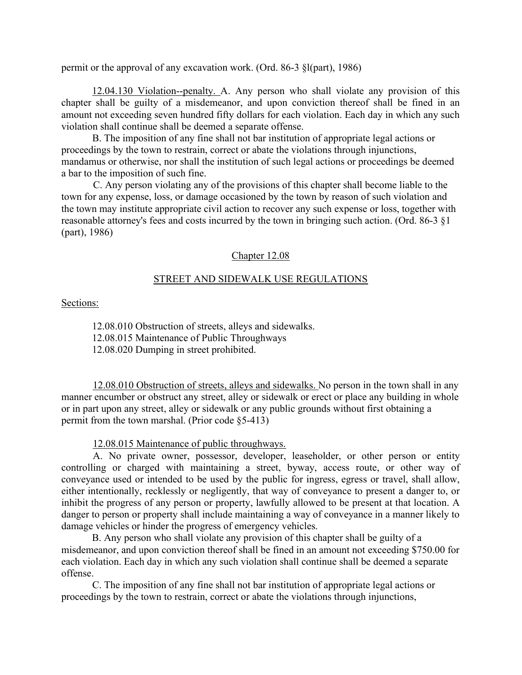permit or the approval of any excavation work. (Ord. 86-3 §l(part), 1986)

12.04.130 Violation--penalty. A. Any person who shall violate any provision of this chapter shall be guilty of a misdemeanor, and upon conviction thereof shall be fined in an amount not exceeding seven hundred fifty dollars for each violation. Each day in which any such violation shall continue shall be deemed a separate offense.

B. The imposition of any fine shall not bar institution of appropriate legal actions or proceedings by the town to restrain, correct or abate the violations through injunctions, mandamus or otherwise, nor shall the institution of such legal actions or proceedings be deemed a bar to the imposition of such fine.

C. Any person violating any of the provisions of this chapter shall become liable to the town for any expense, loss, or damage occasioned by the town by reason of such violation and the town may institute appropriate civil action to recover any such expense or loss, together with reasonable attorney's fees and costs incurred by the town in bringing such action. (Ord. 86-3 §1 (part), 1986)

### Chapter 12.08

## STREET AND SIDEWALK USE REGULATIONS

### Sections:

12.08.010 Obstruction of streets, alleys and sidewalks. 12.08.015 Maintenance of Public Throughways 12.08.020 Dumping in street prohibited.

12.08.010 Obstruction of streets, alleys and sidewalks. No person in the town shall in any manner encumber or obstruct any street, alley or sidewalk or erect or place any building in whole or in part upon any street, alley or sidewalk or any public grounds without first obtaining a permit from the town marshal. (Prior code §5-413)

12.08.015 Maintenance of public throughways.

A. No private owner, possessor, developer, leaseholder, or other person or entity controlling or charged with maintaining a street, byway, access route, or other way of conveyance used or intended to be used by the public for ingress, egress or travel, shall allow, either intentionally, recklessly or negligently, that way of conveyance to present a danger to, or inhibit the progress of any person or property, lawfully allowed to be present at that location. A danger to person or property shall include maintaining a way of conveyance in a manner likely to damage vehicles or hinder the progress of emergency vehicles.

B. Any person who shall violate any provision of this chapter shall be guilty of a misdemeanor, and upon conviction thereof shall be fined in an amount not exceeding \$750.00 for each violation. Each day in which any such violation shall continue shall be deemed a separate offense.

C. The imposition of any fine shall not bar institution of appropriate legal actions or proceedings by the town to restrain, correct or abate the violations through injunctions,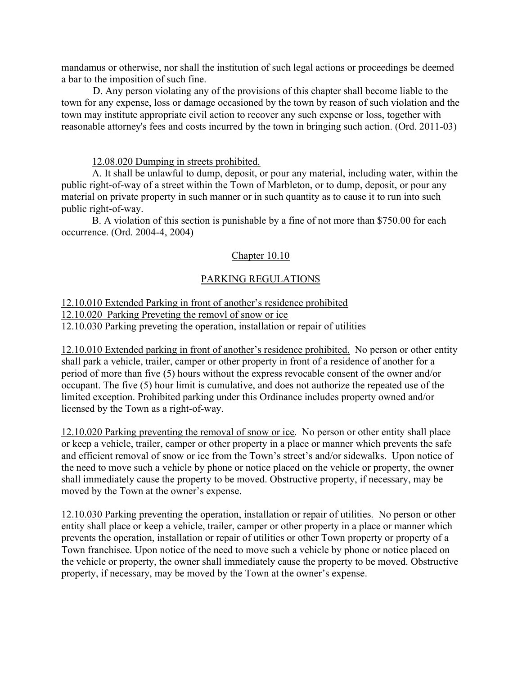mandamus or otherwise, nor shall the institution of such legal actions or proceedings be deemed a bar to the imposition of such fine.

D. Any person violating any of the provisions of this chapter shall become liable to the town for any expense, loss or damage occasioned by the town by reason of such violation and the town may institute appropriate civil action to recover any such expense or loss, together with reasonable attorney's fees and costs incurred by the town in bringing such action. (Ord. 2011-03)

### 12.08.020 Dumping in streets prohibited.

A. It shall be unlawful to dump, deposit, or pour any material, including water, within the public right-of-way of a street within the Town of Marbleton, or to dump, deposit, or pour any material on private property in such manner or in such quantity as to cause it to run into such public right-of-way.

B. A violation of this section is punishable by a fine of not more than \$750.00 for each occurrence. (Ord. 2004-4, 2004)

## Chapter 10.10

## PARKING REGULATIONS

## 12.10.010 Extended Parking in front of another's residence prohibited 12.10.020 Parking Preveting the removl of snow or ice 12.10.030 Parking preveting the operation, installation or repair of utilities

12.10.010 Extended parking in front of another's residence prohibited. No person or other entity shall park a vehicle, trailer, camper or other property in front of a residence of another for a period of more than five (5) hours without the express revocable consent of the owner and/or occupant. The five (5) hour limit is cumulative, and does not authorize the repeated use of the limited exception. Prohibited parking under this Ordinance includes property owned and/or licensed by the Town as a right-of-way.

12.10.020 Parking preventing the removal of snow or ice. No person or other entity shall place or keep a vehicle, trailer, camper or other property in a place or manner which prevents the safe and efficient removal of snow or ice from the Town's street's and/or sidewalks. Upon notice of the need to move such a vehicle by phone or notice placed on the vehicle or property, the owner shall immediately cause the property to be moved. Obstructive property, if necessary, may be moved by the Town at the owner's expense.

12.10.030 Parking preventing the operation, installation or repair of utilities. No person or other entity shall place or keep a vehicle, trailer, camper or other property in a place or manner which prevents the operation, installation or repair of utilities or other Town property or property of a Town franchisee. Upon notice of the need to move such a vehicle by phone or notice placed on the vehicle or property, the owner shall immediately cause the property to be moved. Obstructive property, if necessary, may be moved by the Town at the owner's expense.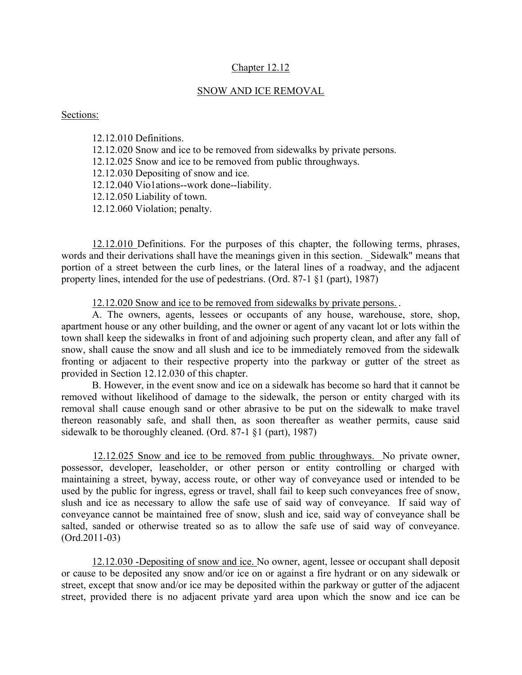### Chapter 12.12

### SNOW AND ICE REMOVAL

### Sections:

12.12.010 Definitions. 12.12.020 Snow and ice to be removed from sidewalks by private persons. 12.12.025 Snow and ice to be removed from public throughways. 12.12.030 Depositing of snow and ice. 12.12.040 Vio1ations--work done--liability. 12.12.050 Liability of town. 12.12.060 Violation; penalty.

12.12.010 Definitions. For the purposes of this chapter, the following terms, phrases, words and their derivations shall have the meanings given in this section. Sidewalk" means that portion of a street between the curb lines, or the lateral lines of a roadway, and the adjacent property lines, intended for the use of pedestrians. (Ord. 87-1 §1 (part), 1987)

12.12.020 Snow and ice to be removed from sidewalks by private persons. .

A. The owners, agents, lessees or occupants of any house, warehouse, store, shop, apartment house or any other building, and the owner or agent of any vacant lot or lots within the town shall keep the sidewalks in front of and adjoining such property clean, and after any fall of snow, shall cause the snow and all slush and ice to be immediately removed from the sidewalk fronting or adjacent to their respective property into the parkway or gutter of the street as provided in Section 12.12.030 of this chapter.

B. However, in the event snow and ice on a sidewalk has become so hard that it cannot be removed without likelihood of damage to the sidewalk, the person or entity charged with its removal shall cause enough sand or other abrasive to be put on the sidewalk to make travel thereon reasonably safe, and shall then, as soon thereafter as weather permits, cause said sidewalk to be thoroughly cleaned. (Ord. 87-1  $\S1$  (part), 1987)

12.12.025 Snow and ice to be removed from public throughways. No private owner, possessor, developer, leaseholder, or other person or entity controlling or charged with maintaining a street, byway, access route, or other way of conveyance used or intended to be used by the public for ingress, egress or travel, shall fail to keep such conveyances free of snow, slush and ice as necessary to allow the safe use of said way of conveyance. If said way of conveyance cannot be maintained free of snow, slush and ice, said way of conveyance shall be salted, sanded or otherwise treated so as to allow the safe use of said way of conveyance. (Ord.2011-03)

12.12.030 -Depositing of snow and ice. No owner, agent, lessee or occupant shall deposit or cause to be deposited any snow and/or ice on or against a fire hydrant or on any sidewalk or street, except that snow and/or ice may be deposited within the parkway or gutter of the adjacent street, provided there is no adjacent private yard area upon which the snow and ice can be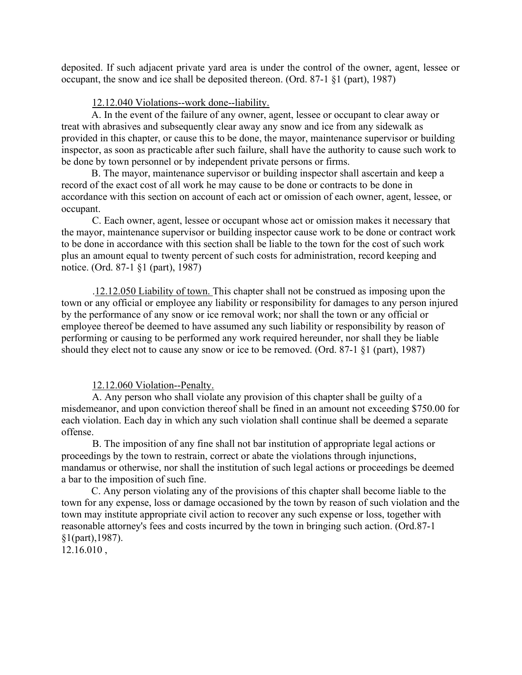deposited. If such adjacent private yard area is under the control of the owner, agent, lessee or occupant, the snow and ice shall be deposited thereon. (Ord. 87-1 §1 (part), 1987)

### 12.12.040 Violations--work done--liability.

A. In the event of the failure of any owner, agent, lessee or occupant to clear away or treat with abrasives and subsequently clear away any snow and ice from any sidewalk as provided in this chapter, or cause this to be done, the mayor, maintenance supervisor or building inspector, as soon as practicable after such failure, shall have the authority to cause such work to be done by town personnel or by independent private persons or firms.

B. The mayor, maintenance supervisor or building inspector shall ascertain and keep a record of the exact cost of all work he may cause to be done or contracts to be done in accordance with this section on account of each act or omission of each owner, agent, lessee, or occupant.

C. Each owner, agent, lessee or occupant whose act or omission makes it necessary that the mayor, maintenance supervisor or building inspector cause work to be done or contract work to be done in accordance with this section shall be liable to the town for the cost of such work plus an amount equal to twenty percent of such costs for administration, record keeping and notice. (Ord. 87-1 §1 (part), 1987)

.12.12.050 Liability of town. This chapter shall not be construed as imposing upon the town or any official or employee any liability or responsibility for damages to any person injured by the performance of any snow or ice removal work; nor shall the town or any official or employee thereof be deemed to have assumed any such liability or responsibility by reason of performing or causing to be performed any work required hereunder, nor shall they be liable should they elect not to cause any snow or ice to be removed. (Ord. 87-1 §1 (part), 1987)

### 12.12.060 Violation--Penalty.

A. Any person who shall violate any provision of this chapter shall be guilty of a misdemeanor, and upon conviction thereof shall be fined in an amount not exceeding \$750.00 for each violation. Each day in which any such violation shall continue shall be deemed a separate offense.

B. The imposition of any fine shall not bar institution of appropriate legal actions or proceedings by the town to restrain, correct or abate the violations through injunctions, mandamus or otherwise, nor shall the institution of such legal actions or proceedings be deemed a bar to the imposition of such fine.

C. Any person violating any of the provisions of this chapter shall become liable to the town for any expense, loss or damage occasioned by the town by reason of such violation and the town may institute appropriate civil action to recover any such expense or loss, together with reasonable attorney's fees and costs incurred by the town in bringing such action. (Ord.87-1 §1(part),1987).

12.16.010 ,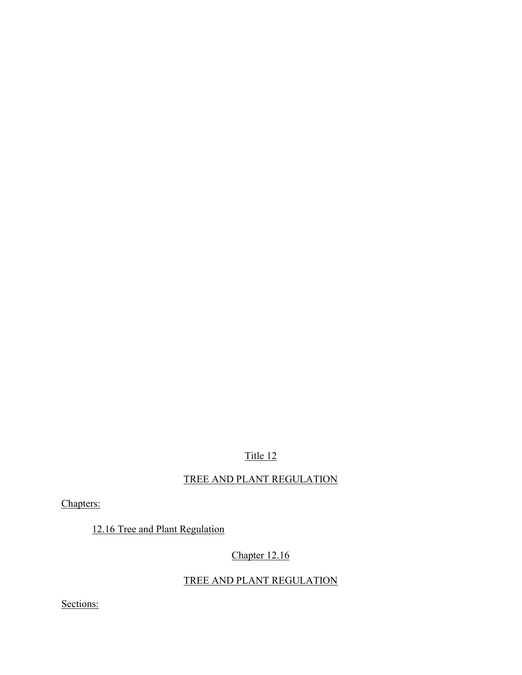# Title 12

# TREE AND PLANT REGULATION

Chapters:

12.16 Tree and Plant Regulation

# Chapter 12.16

# TREE AND PLANT REGULATION

Sections: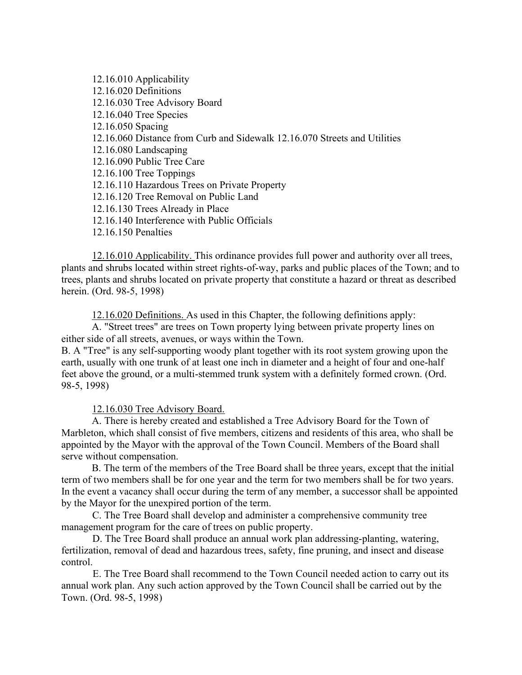12.16.010 Applicability 12.16.020 Definitions 12.16.030 Tree Advisory Board 12.16.040 Tree Species 12.16.050 Spacing 12.16.060 Distance from Curb and Sidewalk 12.16.070 Streets and Utilities 12.16.080 Landscaping 12.16.090 Public Tree Care 12.16.100 Tree Toppings 12.16.110 Hazardous Trees on Private Property 12.16.120 Tree Removal on Public Land 12.16.130 Trees Already in Place 12.16.140 Interference with Public Officials 12.16.150 Penalties

12.16.010 Applicability. This ordinance provides full power and authority over all trees, plants and shrubs located within street rights-of-way, parks and public places of the Town; and to trees, plants and shrubs located on private property that constitute a hazard or threat as described herein. (Ord. 98-5, 1998)

12.16.020 Definitions. As used in this Chapter, the following definitions apply:

A. "Street trees" are trees on Town property lying between private property lines on either side of all streets, avenues, or ways within the Town.

B. A "Tree" is any self-supporting woody plant together with its root system growing upon the earth, usually with one trunk of at least one inch in diameter and a height of four and one-half feet above the ground, or a multi-stemmed trunk system with a definitely formed crown. (Ord. 98-5, 1998)

### 12.16.030 Tree Advisory Board.

A. There is hereby created and established a Tree Advisory Board for the Town of Marbleton, which shall consist of five members, citizens and residents of this area, who shall be appointed by the Mayor with the approval of the Town Council. Members of the Board shall serve without compensation.

B. The term of the members of the Tree Board shall be three years, except that the initial term of two members shall be for one year and the term for two members shall be for two years. In the event a vacancy shall occur during the term of any member, a successor shall be appointed by the Mayor for the unexpired portion of the term.

 C. The Tree Board shall develop and administer a comprehensive community tree management program for the care of trees on public property.

D. The Tree Board shall produce an annual work plan addressing-planting, watering, fertilization, removal of dead and hazardous trees, safety, fine pruning, and insect and disease control.

E. The Tree Board shall recommend to the Town Council needed action to carry out its annual work plan. Any such action approved by the Town Council shall be carried out by the Town. (Ord. 98-5, 1998)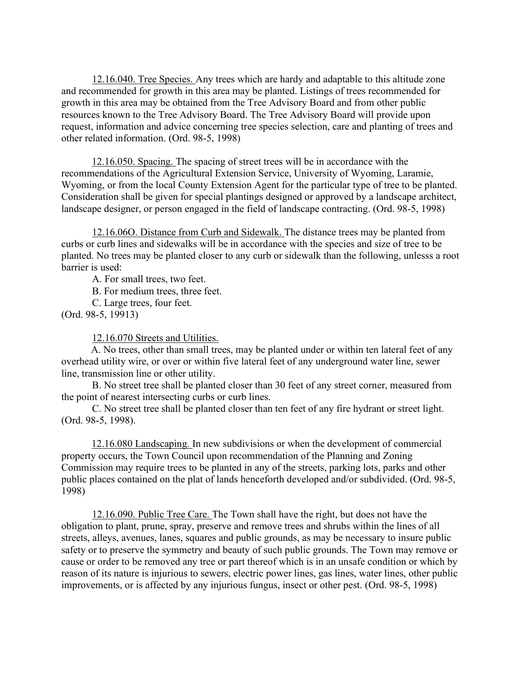12.16.040. Tree Species. Any trees which are hardy and adaptable to this altitude zone and recommended for growth in this area may be planted. Listings of trees recommended for growth in this area may be obtained from the Tree Advisory Board and from other public resources known to the Tree Advisory Board. The Tree Advisory Board will provide upon request, information and advice concerning tree species selection, care and planting of trees and other related information. (Ord. 98-5, 1998)

12.16.050. Spacing. The spacing of street trees will be in accordance with the recommendations of the Agricultural Extension Service, University of Wyoming, Laramie, Wyoming, or from the local County Extension Agent for the particular type of tree to be planted. Consideration shall be given for special plantings designed or approved by a landscape architect, landscape designer, or person engaged in the field of landscape contracting. (Ord. 98-5, 1998)

12.16.06O. Distance from Curb and Sidewalk. The distance trees may be planted from curbs or curb lines and sidewalks will be in accordance with the species and size of tree to be planted. No trees may be planted closer to any curb or sidewalk than the following, unlesss a root barrier is used:

A. For small trees, two feet.

B. For medium trees, three feet.

C. Large trees, four feet.

(Ord. 98-5, 19913)

12.16.070 Streets and Utilities.

A. No trees, other than small trees, may be planted under or within ten lateral feet of any overhead utility wire, or over or within five lateral feet of any underground water line, sewer line, transmission line or other utility.

 B. No street tree shall be planted closer than 30 feet of any street corner, measured from the point of nearest intersecting curbs or curb lines.

 C. No street tree shall be planted closer than ten feet of any fire hydrant or street light. (Ord. 98-5, 1998).

12.16.080 Landscaping. In new subdivisions or when the development of commercial property occurs, the Town Council upon recommendation of the Planning and Zoning Commission may require trees to be planted in any of the streets, parking lots, parks and other public places contained on the plat of lands henceforth developed and/or subdivided. (Ord. 98-5, 1998)

12.16.090. Public Tree Care. The Town shall have the right, but does not have the obligation to plant, prune, spray, preserve and remove trees and shrubs within the lines of all streets, alleys, avenues, lanes, squares and public grounds, as may be necessary to insure public safety or to preserve the symmetry and beauty of such public grounds. The Town may remove or cause or order to be removed any tree or part thereof which is in an unsafe condition or which by reason of its nature is injurious to sewers, electric power lines, gas lines, water lines, other public improvements, or is affected by any injurious fungus, insect or other pest. (Ord. 98-5, 1998)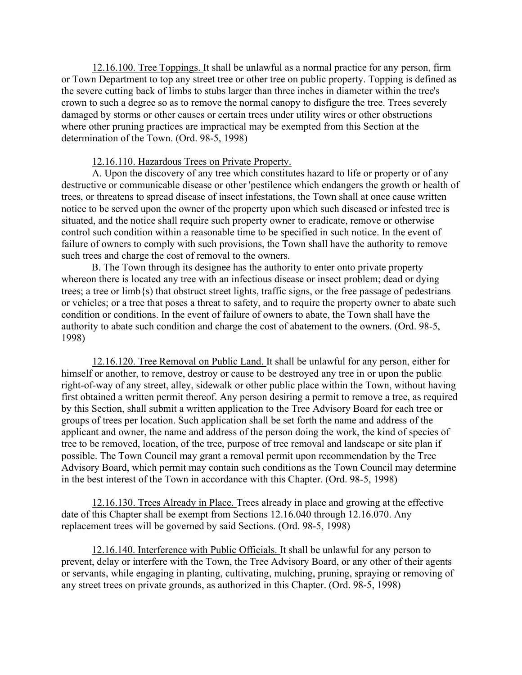12.16.100. Tree Toppings. It shall be unlawful as a normal practice for any person, firm or Town Department to top any street tree or other tree on public property. Topping is defined as the severe cutting back of limbs to stubs larger than three inches in diameter within the tree's crown to such a degree so as to remove the normal canopy to disfigure the tree. Trees severely damaged by storms or other causes or certain trees under utility wires or other obstructions where other pruning practices are impractical may be exempted from this Section at the determination of the Town. (Ord. 98-5, 1998)

### 12.16.110. Hazardous Trees on Private Property.

A. Upon the discovery of any tree which constitutes hazard to life or property or of any destructive or communicable disease or other 'pestilence which endangers the growth or health of trees, or threatens to spread disease of insect infestations, the Town shall at once cause written notice to be served upon the owner of the property upon which such diseased or infested tree is situated, and the notice shall require such property owner to eradicate, remove or otherwise control such condition within a reasonable time to be specified in such notice. In the event of failure of owners to comply with such provisions, the Town shall have the authority to remove such trees and charge the cost of removal to the owners.

B. The Town through its designee has the authority to enter onto private property whereon there is located any tree with an infectious disease or insect problem; dead or dying trees; a tree or limb{s) that obstruct street lights, traffic signs, or the free passage of pedestrians or vehicles; or a tree that poses a threat to safety, and to require the property owner to abate such condition or conditions. In the event of failure of owners to abate, the Town shall have the authority to abate such condition and charge the cost of abatement to the owners. (Ord. 98-5, 1998)

12.16.120. Tree Removal on Public Land. It shall be unlawful for any person, either for himself or another, to remove, destroy or cause to be destroyed any tree in or upon the public right-of-way of any street, alley, sidewalk or other public place within the Town, without having first obtained a written permit thereof. Any person desiring a permit to remove a tree, as required by this Section, shall submit a written application to the Tree Advisory Board for each tree or groups of trees per location. Such application shall be set forth the name and address of the applicant and owner, the name and address of the person doing the work, the kind of species of tree to be removed, location, of the tree, purpose of tree removal and landscape or site plan if possible. The Town Council may grant a removal permit upon recommendation by the Tree Advisory Board, which permit may contain such conditions as the Town Council may determine in the best interest of the Town in accordance with this Chapter. (Ord. 98-5, 1998)

12.16.130. Trees Already in Place. Trees already in place and growing at the effective date of this Chapter shall be exempt from Sections 12.16.040 through 12.16.070. Any replacement trees will be governed by said Sections. (Ord. 98-5, 1998)

12.16.140. Interference with Public Officials. It shall be unlawful for any person to prevent, delay or interfere with the Town, the Tree Advisory Board, or any other of their agents or servants, while engaging in planting, cultivating, mulching, pruning, spraying or removing of any street trees on private grounds, as authorized in this Chapter. (Ord. 98-5, 1998)